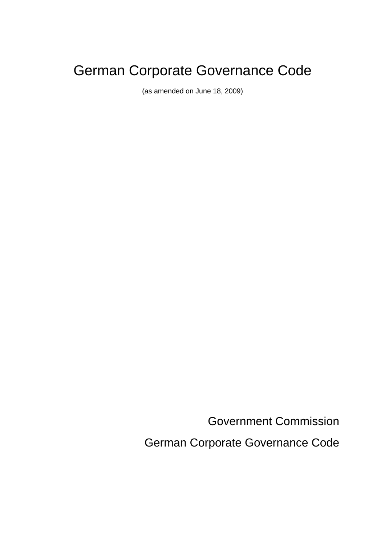# German Corporate Governance Code

(as amended on June 18, 2009)

Government Commission

German Corporate Governance Code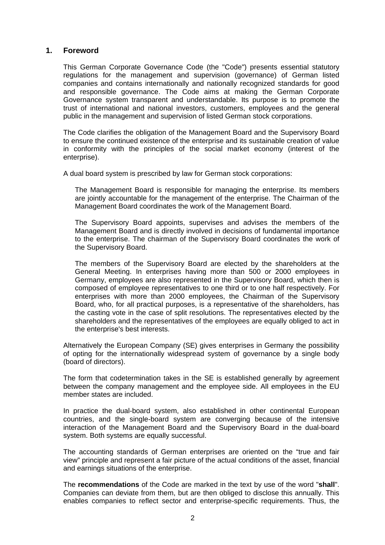## **1. Foreword**

This German Corporate Governance Code (the "Code") presents essential statutory regulations for the management and supervision (governance) of German listed companies and contains internationally and nationally recognized standards for good and responsible governance. The Code aims at making the German Corporate Governance system transparent and understandable. Its purpose is to promote the trust of international and national investors, customers, employees and the general public in the management and supervision of listed German stock corporations.

The Code clarifies the obligation of the Management Board and the Supervisory Board to ensure the continued existence of the enterprise and its sustainable creation of value in conformity with the principles of the social market economy (interest of the enterprise).

A dual board system is prescribed by law for German stock corporations:

The Management Board is responsible for managing the enterprise. Its members are jointly accountable for the management of the enterprise. The Chairman of the Management Board coordinates the work of the Management Board.

The Supervisory Board appoints, supervises and advises the members of the Management Board and is directly involved in decisions of fundamental importance to the enterprise. The chairman of the Supervisory Board coordinates the work of the Supervisory Board.

The members of the Supervisory Board are elected by the shareholders at the General Meeting. In enterprises having more than 500 or 2000 employees in Germany, employees are also represented in the Supervisory Board, which then is composed of employee representatives to one third or to one half respectively. For enterprises with more than 2000 employees, the Chairman of the Supervisory Board, who, for all practical purposes, is a representative of the shareholders, has the casting vote in the case of split resolutions. The representatives elected by the shareholders and the representatives of the employees are equally obliged to act in the enterprise's best interests.

Alternatively the European Company (SE) gives enterprises in Germany the possibility of opting for the internationally widespread system of governance by a single body (board of directors).

The form that codetermination takes in the SE is established generally by agreement between the company management and the employee side. All employees in the EU member states are included.

In practice the dual-board system, also established in other continental European countries, and the single-board system are converging because of the intensive interaction of the Management Board and the Supervisory Board in the dual-board system. Both systems are equally successful.

The accounting standards of German enterprises are oriented on the "true and fair view" principle and represent a fair picture of the actual conditions of the asset, financial and earnings situations of the enterprise.

The **recommendations** of the Code are marked in the text by use of the word "**shall**". Companies can deviate from them, but are then obliged to disclose this annually. This enables companies to reflect sector and enterprise-specific requirements. Thus, the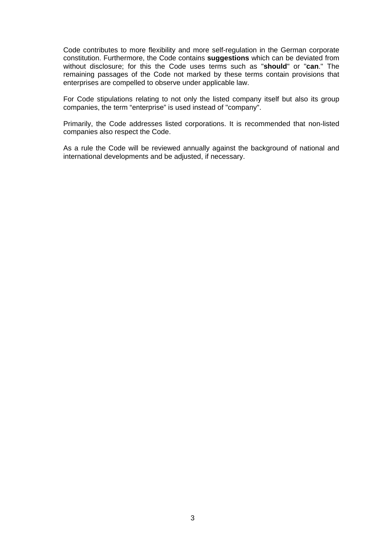Code contributes to more flexibility and more self-regulation in the German corporate constitution. Furthermore, the Code contains **suggestions** which can be deviated from without disclosure; for this the Code uses terms such as "**should**" or "**can**." The remaining passages of the Code not marked by these terms contain provisions that enterprises are compelled to observe under applicable law.

For Code stipulations relating to not only the listed company itself but also its group companies, the term "enterprise" is used instead of "company".

Primarily, the Code addresses listed corporations. It is recommended that non-listed companies also respect the Code.

As a rule the Code will be reviewed annually against the background of national and international developments and be adjusted, if necessary.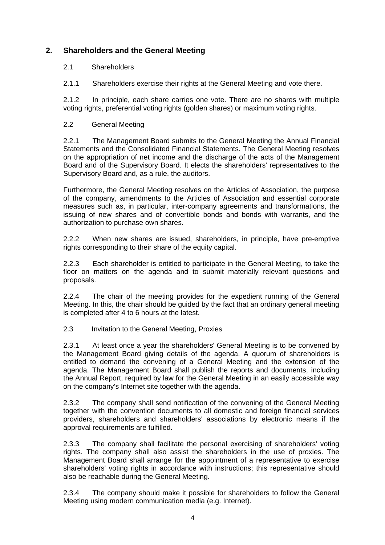# **2. Shareholders and the General Meeting**

# 2.1 Shareholders

2.1.1 Shareholders exercise their rights at the General Meeting and vote there.

2.1.2 In principle, each share carries one vote. There are no shares with multiple voting rights, preferential voting rights (golden shares) or maximum voting rights.

# 2.2 General Meeting

2.2.1 The Management Board submits to the General Meeting the Annual Financial Statements and the Consolidated Financial Statements. The General Meeting resolves on the appropriation of net income and the discharge of the acts of the Management Board and of the Supervisory Board. It elects the shareholders' representatives to the Supervisory Board and, as a rule, the auditors.

Furthermore, the General Meeting resolves on the Articles of Association, the purpose of the company, amendments to the Articles of Association and essential corporate measures such as, in particular, inter-company agreements and transformations, the issuing of new shares and of convertible bonds and bonds with warrants, and the authorization to purchase own shares.

2.2.2 When new shares are issued, shareholders, in principle, have pre-emptive rights corresponding to their share of the equity capital.

2.2.3 Each shareholder is entitled to participate in the General Meeting, to take the floor on matters on the agenda and to submit materially relevant questions and proposals.

2.2.4 The chair of the meeting provides for the expedient running of the General Meeting. In this, the chair should be guided by the fact that an ordinary general meeting is completed after 4 to 6 hours at the latest.

2.3 Invitation to the General Meeting, Proxies

2.3.1 At least once a year the shareholders' General Meeting is to be convened by the Management Board giving details of the agenda. A quorum of shareholders is entitled to demand the convening of a General Meeting and the extension of the agenda. The Management Board shall publish the reports and documents, including the Annual Report, required by law for the General Meeting in an easily accessible way on the company's Internet site together with the agenda.

2.3.2 The company shall send notification of the convening of the General Meeting together with the convention documents to all domestic and foreign financial services providers, shareholders and shareholders' associations by electronic means if the approval requirements are fulfilled.

2.3.3 The company shall facilitate the personal exercising of shareholders' voting rights. The company shall also assist the shareholders in the use of proxies. The Management Board shall arrange for the appointment of a representative to exercise shareholders' voting rights in accordance with instructions; this representative should also be reachable during the General Meeting.

2.3.4 The company should make it possible for shareholders to follow the General Meeting using modern communication media (e.g. Internet).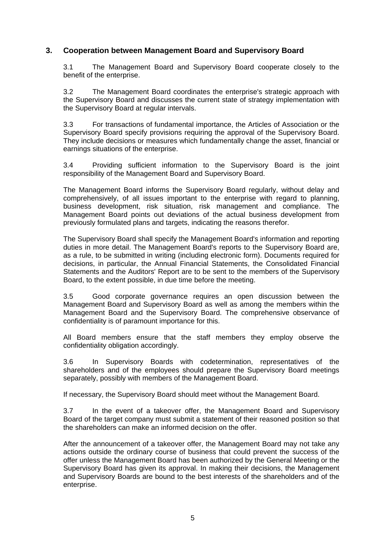# **3. Cooperation between Management Board and Supervisory Board**

3.1 The Management Board and Supervisory Board cooperate closely to the benefit of the enterprise.

3.2 The Management Board coordinates the enterprise's strategic approach with the Supervisory Board and discusses the current state of strategy implementation with the Supervisory Board at regular intervals.

3.3 For transactions of fundamental importance, the Articles of Association or the Supervisory Board specify provisions requiring the approval of the Supervisory Board. They include decisions or measures which fundamentally change the asset, financial or earnings situations of the enterprise.

3.4 Providing sufficient information to the Supervisory Board is the joint responsibility of the Management Board and Supervisory Board.

The Management Board informs the Supervisory Board regularly, without delay and comprehensively, of all issues important to the enterprise with regard to planning, business development, risk situation, risk management and compliance. The Management Board points out deviations of the actual business development from previously formulated plans and targets, indicating the reasons therefor.

The Supervisory Board shall specify the Management Board's information and reporting duties in more detail. The Management Board's reports to the Supervisory Board are, as a rule, to be submitted in writing (including electronic form). Documents required for decisions, in particular, the Annual Financial Statements, the Consolidated Financial Statements and the Auditors' Report are to be sent to the members of the Supervisory Board, to the extent possible, in due time before the meeting.

3.5 Good corporate governance requires an open discussion between the Management Board and Supervisory Board as well as among the members within the Management Board and the Supervisory Board. The comprehensive observance of confidentiality is of paramount importance for this.

All Board members ensure that the staff members they employ observe the confidentiality obligation accordingly.

3.6 In Supervisory Boards with codetermination, representatives of the shareholders and of the employees should prepare the Supervisory Board meetings separately, possibly with members of the Management Board.

If necessary, the Supervisory Board should meet without the Management Board.

3.7 In the event of a takeover offer, the Management Board and Supervisory Board of the target company must submit a statement of their reasoned position so that the shareholders can make an informed decision on the offer.

After the announcement of a takeover offer, the Management Board may not take any actions outside the ordinary course of business that could prevent the success of the offer unless the Management Board has been authorized by the General Meeting or the Supervisory Board has given its approval. In making their decisions, the Management and Supervisory Boards are bound to the best interests of the shareholders and of the enterprise.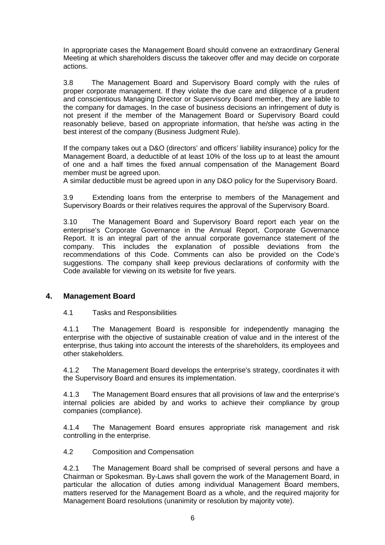In appropriate cases the Management Board should convene an extraordinary General Meeting at which shareholders discuss the takeover offer and may decide on corporate actions.

3.8 The Management Board and Supervisory Board comply with the rules of proper corporate management. If they violate the due care and diligence of a prudent and conscientious Managing Director or Supervisory Board member, they are liable to the company for damages. In the case of business decisions an infringement of duty is not present if the member of the Management Board or Supervisory Board could reasonably believe, based on appropriate information, that he/she was acting in the best interest of the company (Business Judgment Rule).

If the company takes out a D&O (directors' and officers' liability insurance) policy for the Management Board, a deductible of at least 10% of the loss up to at least the amount of one and a half times the fixed annual compensation of the Management Board member must be agreed upon.

A similar deductible must be agreed upon in any D&O policy for the Supervisory Board.

3.9 Extending loans from the enterprise to members of the Management and Supervisory Boards or their relatives requires the approval of the Supervisory Board.

3.10 The Management Board and Supervisory Board report each year on the enterprise's Corporate Governance in the Annual Report, Corporate Governance Report. It is an integral part of the annual corporate governance statement of the company. This includes the explanation of possible deviations from the recommendations of this Code. Comments can also be provided on the Code's suggestions. The company shall keep previous declarations of conformity with the Code available for viewing on its website for five years.

# **4. Management Board**

## 4.1 Tasks and Responsibilities

4.1.1 The Management Board is responsible for independently managing the enterprise with the objective of sustainable creation of value and in the interest of the enterprise, thus taking into account the interests of the shareholders, its employees and other stakeholders.

4.1.2 The Management Board develops the enterprise's strategy, coordinates it with the Supervisory Board and ensures its implementation.

4.1.3 The Management Board ensures that all provisions of law and the enterprise's internal policies are abided by and works to achieve their compliance by group companies (compliance).

4.1.4 The Management Board ensures appropriate risk management and risk controlling in the enterprise.

4.2 Composition and Compensation

4.2.1 The Management Board shall be comprised of several persons and have a Chairman or Spokesman. By-Laws shall govern the work of the Management Board, in particular the allocation of duties among individual Management Board members, matters reserved for the Management Board as a whole, and the required majority for Management Board resolutions (unanimity or resolution by majority vote).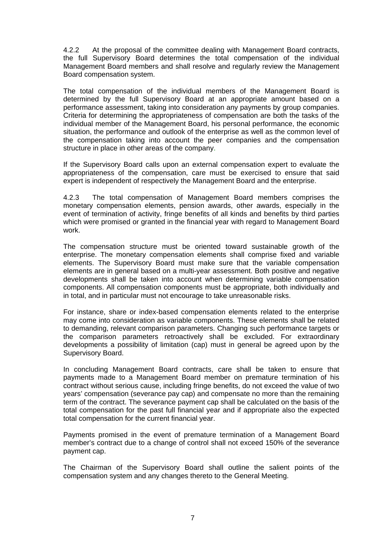4.2.2 At the proposal of the committee dealing with Management Board contracts, the full Supervisory Board determines the total compensation of the individual Management Board members and shall resolve and regularly review the Management Board compensation system.

The total compensation of the individual members of the Management Board is determined by the full Supervisory Board at an appropriate amount based on a performance assessment, taking into consideration any payments by group companies. Criteria for determining the appropriateness of compensation are both the tasks of the individual member of the Management Board, his personal performance, the economic situation, the performance and outlook of the enterprise as well as the common level of the compensation taking into account the peer companies and the compensation structure in place in other areas of the company.

If the Supervisory Board calls upon an external compensation expert to evaluate the appropriateness of the compensation, care must be exercised to ensure that said expert is independent of respectively the Management Board and the enterprise.

4.2.3 The total compensation of Management Board members comprises the monetary compensation elements, pension awards, other awards, especially in the event of termination of activity, fringe benefits of all kinds and benefits by third parties which were promised or granted in the financial year with regard to Management Board work.

The compensation structure must be oriented toward sustainable growth of the enterprise. The monetary compensation elements shall comprise fixed and variable elements. The Supervisory Board must make sure that the variable compensation elements are in general based on a multi-year assessment. Both positive and negative developments shall be taken into account when determining variable compensation components. All compensation components must be appropriate, both individually and in total, and in particular must not encourage to take unreasonable risks.

For instance, share or index-based compensation elements related to the enterprise may come into consideration as variable components. These elements shall be related to demanding, relevant comparison parameters. Changing such performance targets or the comparison parameters retroactively shall be excluded. For extraordinary developments a possibility of limitation (cap) must in general be agreed upon by the Supervisory Board.

In concluding Management Board contracts, care shall be taken to ensure that payments made to a Management Board member on premature termination of his contract without serious cause, including fringe benefits, do not exceed the value of two years' compensation (severance pay cap) and compensate no more than the remaining term of the contract. The severance payment cap shall be calculated on the basis of the total compensation for the past full financial year and if appropriate also the expected total compensation for the current financial year.

Payments promised in the event of premature termination of a Management Board member's contract due to a change of control shall not exceed 150% of the severance payment cap.

The Chairman of the Supervisory Board shall outline the salient points of the compensation system and any changes thereto to the General Meeting.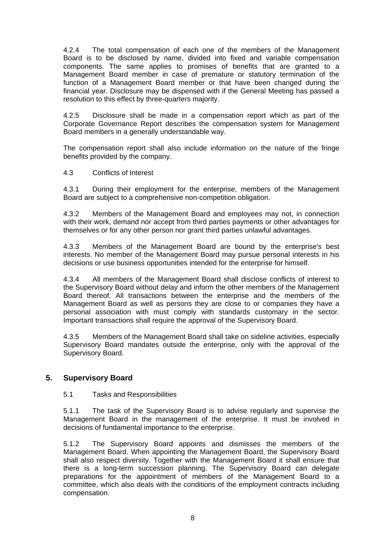4.2.4 The total compensation of each one of the members of the Management Board is to be disclosed by name, divided into fixed and variable compensation components. The same applies to promises of benefits that are granted to a Management Board member in case of premature or statutory termination of the function of a Management Board member or that have been changed during the financial year. Disclosure may be dispensed with if the General Meeting has passed a resolution to this effect by three-quarters majority.

4.2.5 Disclosure shall be made in a compensation report which as part of the Corporate Governance Report describes the compensation system for Management Board members in a generally understandable way.

The compensation report shall also include information on the nature of the fringe benefits provided by the company.

## 4.3 Conflicts of Interest

4.3.1 During their employment for the enterprise, members of the Management Board are subject to a comprehensive non-competition obligation.

4.3.2 Members of the Management Board and employees may not, in connection with their work, demand nor accept from third parties payments or other advantages for themselves or for any other person nor grant third parties unlawful advantages.

4.3.3 Members of the Management Board are bound by the enterprise's best interests. No member of the Management Board may pursue personal interests in his decisions or use business opportunities intended for the enterprise for himself.

4.3.4 All members of the Management Board shall disclose conflicts of interest to the Supervisory Board without delay and inform the other members of the Management Board thereof. All transactions between the enterprise and the members of the Management Board as well as persons they are close to or companies they have a personal association with must comply with standards customary in the sector. Important transactions shall require the approval of the Supervisory Board.

4.3.5 Members of the Management Board shall take on sideline activities, especially Supervisory Board mandates outside the enterprise, only with the approval of the Supervisory Board.

## **5. Supervisory Board**

#### 5.1 Tasks and Responsibilities

5.1.1 The task of the Supervisory Board is to advise regularly and supervise the Management Board in the management of the enterprise. It must be involved in decisions of fundamental importance to the enterprise.

5.1.2 The Supervisory Board appoints and dismisses the members of the Management Board. When appointing the Management Board, the Supervisory Board shall also respect diversity. Together with the Management Board it shall ensure that there is a long-term succession planning. The Supervisory Board can delegate preparations for the appointment of members of the Management Board to a committee, which also deals with the conditions of the employment contracts including compensation.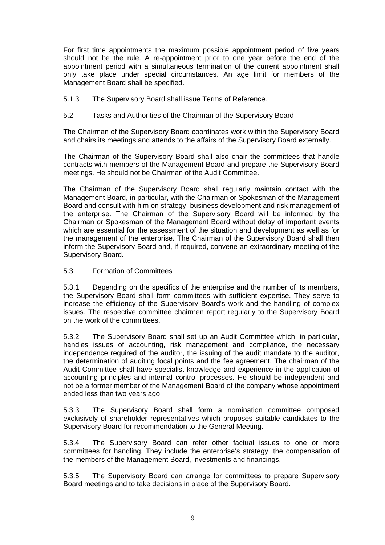For first time appointments the maximum possible appointment period of five years should not be the rule. A re-appointment prior to one year before the end of the appointment period with a simultaneous termination of the current appointment shall only take place under special circumstances. An age limit for members of the Management Board shall be specified.

- 5.1.3 The Supervisory Board shall issue Terms of Reference.
- 5.2 Tasks and Authorities of the Chairman of the Supervisory Board

The Chairman of the Supervisory Board coordinates work within the Supervisory Board and chairs its meetings and attends to the affairs of the Supervisory Board externally.

The Chairman of the Supervisory Board shall also chair the committees that handle contracts with members of the Management Board and prepare the Supervisory Board meetings. He should not be Chairman of the Audit Committee.

The Chairman of the Supervisory Board shall regularly maintain contact with the Management Board, in particular, with the Chairman or Spokesman of the Management Board and consult with him on strategy, business development and risk management of the enterprise. The Chairman of the Supervisory Board will be informed by the Chairman or Spokesman of the Management Board without delay of important events which are essential for the assessment of the situation and development as well as for the management of the enterprise. The Chairman of the Supervisory Board shall then inform the Supervisory Board and, if required, convene an extraordinary meeting of the Supervisory Board.

## 5.3 Formation of Committees

5.3.1 Depending on the specifics of the enterprise and the number of its members, the Supervisory Board shall form committees with sufficient expertise. They serve to increase the efficiency of the Supervisory Board's work and the handling of complex issues. The respective committee chairmen report regularly to the Supervisory Board on the work of the committees.

5.3.2 The Supervisory Board shall set up an Audit Committee which, in particular, handles issues of accounting, risk management and compliance, the necessary independence required of the auditor, the issuing of the audit mandate to the auditor, the determination of auditing focal points and the fee agreement. The chairman of the Audit Committee shall have specialist knowledge and experience in the application of accounting principles and internal control processes. He should be independent and not be a former member of the Management Board of the company whose appointment ended less than two years ago.

5.3.3 The Supervisory Board shall form a nomination committee composed exclusively of shareholder representatives which proposes suitable candidates to the Supervisory Board for recommendation to the General Meeting.

5.3.4 The Supervisory Board can refer other factual issues to one or more committees for handling. They include the enterprise's strategy, the compensation of the members of the Management Board, investments and financings.

5.3.5 The Supervisory Board can arrange for committees to prepare Supervisory Board meetings and to take decisions in place of the Supervisory Board.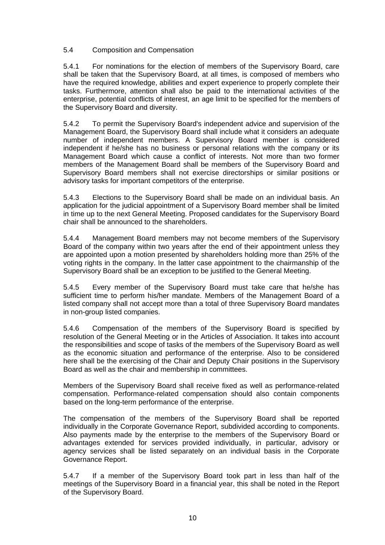# 5.4 Composition and Compensation

5.4.1 For nominations for the election of members of the Supervisory Board, care shall be taken that the Supervisory Board, at all times, is composed of members who have the required knowledge, abilities and expert experience to properly complete their tasks. Furthermore, attention shall also be paid to the international activities of the enterprise, potential conflicts of interest, an age limit to be specified for the members of the Supervisory Board and diversity.

5.4.2 To permit the Supervisory Board's independent advice and supervision of the Management Board, the Supervisory Board shall include what it considers an adequate number of independent members. A Supervisory Board member is considered independent if he/she has no business or personal relations with the company or its Management Board which cause a conflict of interests. Not more than two former members of the Management Board shall be members of the Supervisory Board and Supervisory Board members shall not exercise directorships or similar positions or advisory tasks for important competitors of the enterprise.

5.4.3 Elections to the Supervisory Board shall be made on an individual basis. An application for the judicial appointment of a Supervisory Board member shall be limited in time up to the next General Meeting. Proposed candidates for the Supervisory Board chair shall be announced to the shareholders.

5.4.4 Management Board members may not become members of the Supervisory Board of the company within two years after the end of their appointment unless they are appointed upon a motion presented by shareholders holding more than 25% of the voting rights in the company. In the latter case appointment to the chairmanship of the Supervisory Board shall be an exception to be justified to the General Meeting.

5.4.5 Every member of the Supervisory Board must take care that he/she has sufficient time to perform his/her mandate. Members of the Management Board of a listed company shall not accept more than a total of three Supervisory Board mandates in non-group listed companies.

5.4.6 Compensation of the members of the Supervisory Board is specified by resolution of the General Meeting or in the Articles of Association. It takes into account the responsibilities and scope of tasks of the members of the Supervisory Board as well as the economic situation and performance of the enterprise. Also to be considered here shall be the exercising of the Chair and Deputy Chair positions in the Supervisory Board as well as the chair and membership in committees.

Members of the Supervisory Board shall receive fixed as well as performance-related compensation. Performance-related compensation should also contain components based on the long-term performance of the enterprise.

The compensation of the members of the Supervisory Board shall be reported individually in the Corporate Governance Report, subdivided according to components. Also payments made by the enterprise to the members of the Supervisory Board or advantages extended for services provided individually, in particular, advisory or agency services shall be listed separately on an individual basis in the Corporate Governance Report.

5.4.7 If a member of the Supervisory Board took part in less than half of the meetings of the Supervisory Board in a financial year, this shall be noted in the Report of the Supervisory Board.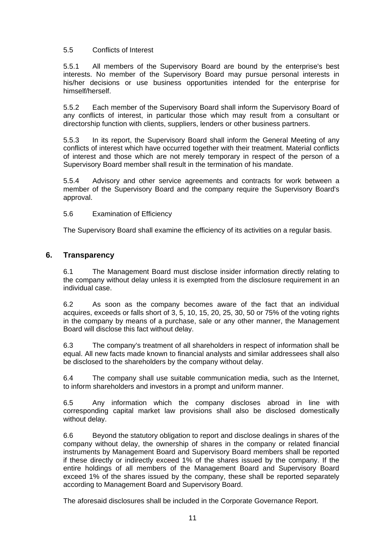# 5.5 Conflicts of Interest

5.5.1 All members of the Supervisory Board are bound by the enterprise's best interests. No member of the Supervisory Board may pursue personal interests in his/her decisions or use business opportunities intended for the enterprise for himself/herself.

5.5.2 Each member of the Supervisory Board shall inform the Supervisory Board of any conflicts of interest, in particular those which may result from a consultant or directorship function with clients, suppliers, lenders or other business partners.

5.5.3 In its report, the Supervisory Board shall inform the General Meeting of any conflicts of interest which have occurred together with their treatment. Material conflicts of interest and those which are not merely temporary in respect of the person of a Supervisory Board member shall result in the termination of his mandate.

5.5.4 Advisory and other service agreements and contracts for work between a member of the Supervisory Board and the company require the Supervisory Board's approval.

## 5.6 Examination of Efficiency

The Supervisory Board shall examine the efficiency of its activities on a regular basis.

# **6. Transparency**

6.1 The Management Board must disclose insider information directly relating to the company without delay unless it is exempted from the disclosure requirement in an individual case.

6.2 As soon as the company becomes aware of the fact that an individual acquires, exceeds or falls short of 3, 5, 10, 15, 20, 25, 30, 50 or 75% of the voting rights in the company by means of a purchase, sale or any other manner, the Management Board will disclose this fact without delay.

6.3 The company's treatment of all shareholders in respect of information shall be equal. All new facts made known to financial analysts and similar addressees shall also be disclosed to the shareholders by the company without delay.

6.4 The company shall use suitable communication media, such as the Internet, to inform shareholders and investors in a prompt and uniform manner.

6.5 Any information which the company discloses abroad in line with corresponding capital market law provisions shall also be disclosed domestically without delay.

6.6 Beyond the statutory obligation to report and disclose dealings in shares of the company without delay, the ownership of shares in the company or related financial instruments by Management Board and Supervisory Board members shall be reported if these directly or indirectly exceed 1% of the shares issued by the company. If the entire holdings of all members of the Management Board and Supervisory Board exceed 1% of the shares issued by the company, these shall be reported separately according to Management Board and Supervisory Board.

The aforesaid disclosures shall be included in the Corporate Governance Report.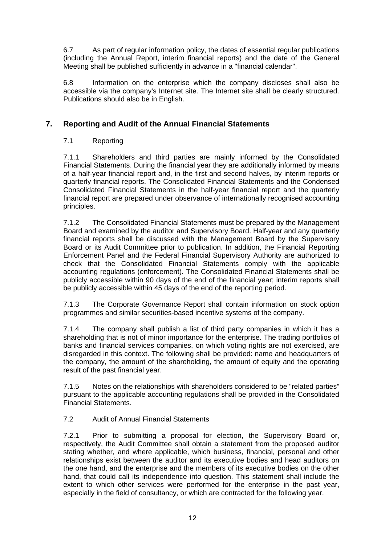6.7 As part of regular information policy, the dates of essential regular publications (including the Annual Report, interim financial reports) and the date of the General Meeting shall be published sufficiently in advance in a "financial calendar".

6.8 Information on the enterprise which the company discloses shall also be accessible via the company's Internet site. The Internet site shall be clearly structured. Publications should also be in English.

# **7. Reporting and Audit of the Annual Financial Statements**

# 7.1 Reporting

7.1.1 Shareholders and third parties are mainly informed by the Consolidated Financial Statements. During the financial year they are additionally informed by means of a half-year financial report and, in the first and second halves, by interim reports or quarterly financial reports. The Consolidated Financial Statements and the Condensed Consolidated Financial Statements in the half-year financial report and the quarterly financial report are prepared under observance of internationally recognised accounting principles.

7.1.2 The Consolidated Financial Statements must be prepared by the Management Board and examined by the auditor and Supervisory Board. Half-year and any quarterly financial reports shall be discussed with the Management Board by the Supervisory Board or its Audit Committee prior to publication. In addition, the Financial Reporting Enforcement Panel and the Federal Financial Supervisory Authority are authorized to check that the Consolidated Financial Statements comply with the applicable accounting regulations (enforcement). The Consolidated Financial Statements shall be publicly accessible within 90 days of the end of the financial year; interim reports shall be publicly accessible within 45 days of the end of the reporting period.

7.1.3 The Corporate Governance Report shall contain information on stock option programmes and similar securities-based incentive systems of the company.

7.1.4 The company shall publish a list of third party companies in which it has a shareholding that is not of minor importance for the enterprise. The trading portfolios of banks and financial services companies, on which voting rights are not exercised, are disregarded in this context. The following shall be provided: name and headquarters of the company, the amount of the shareholding, the amount of equity and the operating result of the past financial year.

7.1.5 Notes on the relationships with shareholders considered to be "related parties" pursuant to the applicable accounting regulations shall be provided in the Consolidated Financial Statements.

# 7.2 Audit of Annual Financial Statements

7.2.1 Prior to submitting a proposal for election, the Supervisory Board or, respectively, the Audit Committee shall obtain a statement from the proposed auditor stating whether, and where applicable, which business, financial, personal and other relationships exist between the auditor and its executive bodies and head auditors on the one hand, and the enterprise and the members of its executive bodies on the other hand, that could call its independence into question. This statement shall include the extent to which other services were performed for the enterprise in the past year, especially in the field of consultancy, or which are contracted for the following year.